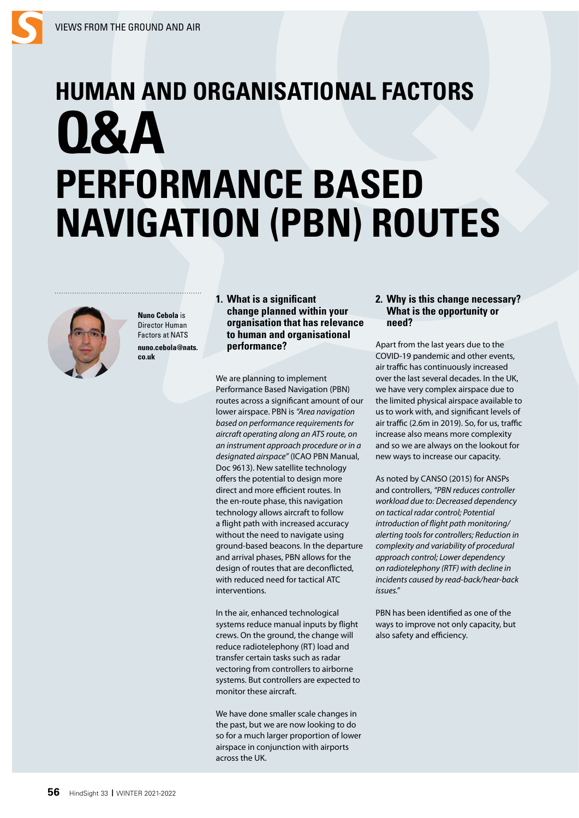# **HUMAN AND ORGANISATIONAL FACTORS Q&A PERFORMANCE BASED NAVIGATION (PBN) ROUTES**



**Nuno Cebola** is Director Human Factors at NATS **nuno.cebola@nats. co.uk**

**1. What is a significant change planned within your organisation that has relevance to human and organisational performance?** 

We are planning to implement Performance Based Navigation (PBN) routes across a significant amount of our lower airspace. PBN is *"Area navigation based on performance requirements for aircraft operating along an ATS route, on an instrument approach procedure or in a designated airspace"* (ICAO PBN Manual, Doc 9613). New satellite technology offers the potential to design more direct and more efficient routes. In the en-route phase, this navigation technology allows aircraft to follow a flight path with increased accuracy without the need to navigate using ground-based beacons. In the departure and arrival phases, PBN allows for the design of routes that are deconflicted, with reduced need for tactical ATC interventions.

In the air, enhanced technological systems reduce manual inputs by flight crews. On the ground, the change will reduce radiotelephony (RT) load and transfer certain tasks such as radar vectoring from controllers to airborne systems. But controllers are expected to monitor these aircraft.

We have done smaller scale changes in the past, but we are now looking to do so for a much larger proportion of lower airspace in conjunction with airports across the UK.

## **2. Why is this change necessary? What is the opportunity or need?**

Apart from the last years due to the COVID-19 pandemic and other events, air traffic has continuously increased over the last several decades. In the UK, we have very complex airspace due to the limited physical airspace available to us to work with, and significant levels of air traffic (2.6m in 2019). So, for us, traffic increase also means more complexity and so we are always on the lookout for new ways to increase our capacity.

As noted by CANSO (2015) for ANSPs and controllers, *"PBN reduces controller workload due to: Decreased dependency on tactical radar control; Potential introduction of flight path monitoring/ alerting tools for controllers; Reduction in complexity and variability of procedural approach control; Lower dependency on radiotelephony (RTF) with decline in incidents caused by read-back/hear-back issues."*

PBN has been identified as one of the ways to improve not only capacity, but also safety and efficiency.